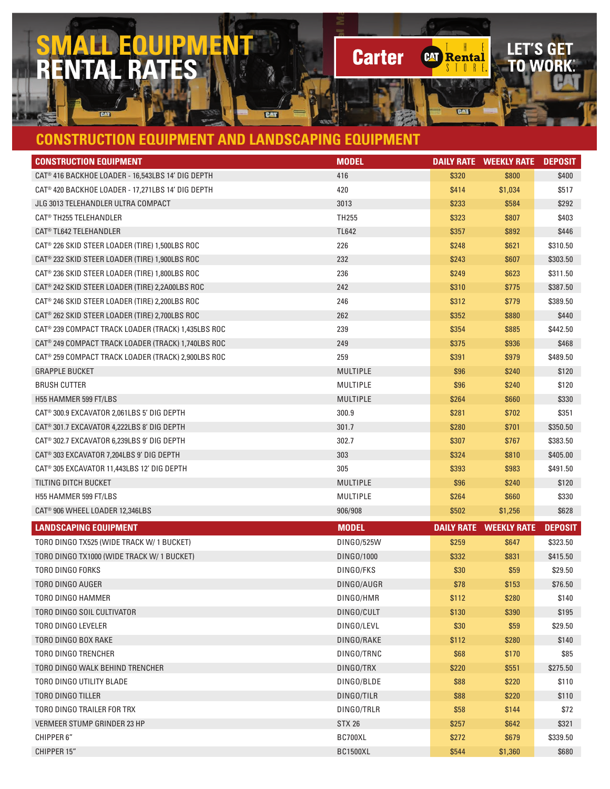## **SMALL EQUIPMEN<br>RENTAL RATES RENTAL RATES**

## **CONSTRUCTION EQUIPMENT AND LANDSCAPING EQUIPMENT**

ENT

| <b>CONSTRUCTION EQUIPMENT</b>                                  | <b>MODEL</b>    |       |                               | <b>DEPOSIT</b> |
|----------------------------------------------------------------|-----------------|-------|-------------------------------|----------------|
| CAT® 416 BACKHOE LOADER - 16,543LBS 14' DIG DEPTH              | 416             | \$320 | \$800                         | \$400          |
| CAT® 420 BACKHOE LOADER - 17,271LBS 14' DIG DEPTH              | 420             | \$414 | \$1,034                       | \$517          |
| JLG 3013 TELEHANDLER ULTRA COMPACT                             | 3013            | \$233 | \$584                         | \$292          |
| <b>CAT<sup>®</sup> TH255 TELEHANDLER</b>                       | TH255           | \$323 | \$807                         | \$403          |
| CAT <sup>®</sup> TL642 TELEHANDLER                             | TL642           | \$357 | \$892                         | \$446          |
| CAT® 226 SKID STEER LOADER (TIRE) 1,500LBS ROC                 | 226             | \$248 | \$621                         | \$310.50       |
| CAT <sup>®</sup> 232 SKID STEER LOADER (TIRE) 1,900LBS ROC     | 232             | \$243 | \$607                         | \$303.50       |
| CAT® 236 SKID STEER LOADER (TIRE) 1,800LBS ROC                 | 236             | \$249 | \$623                         | \$311.50       |
| CAT <sup>®</sup> 242 SKID STEER LOADER (TIRE) 2,2A00LBS ROC    | 242             | \$310 | \$775                         | \$387.50       |
| CAT® 246 SKID STEER LOADER (TIRE) 2,200LBS ROC                 | 246             | \$312 | \$779                         | \$389.50       |
| CAT® 262 SKID STEER LOADER (TIRE) 2,700LBS ROC                 | 262             | \$352 | \$880                         | \$440          |
| CAT® 239 COMPACT TRACK LOADER (TRACK) 1,435LBS ROC             | 239             | \$354 | \$885                         | \$442.50       |
| CAT® 249 COMPACT TRACK LOADER (TRACK) 1,740LBS ROC             | 249             | \$375 | \$936                         | \$468          |
| CAT <sup>®</sup> 259 COMPACT TRACK LOADER (TRACK) 2,900LBS ROC | 259             | \$391 | \$979                         | \$489.50       |
| <b>GRAPPLE BUCKET</b>                                          | MULTIPLE        | \$96  | \$240                         | \$120          |
| <b>BRUSH CUTTER</b>                                            | MULTIPLE        | \$96  | \$240                         | \$120          |
| H55 HAMMER 599 FT/LBS                                          | MULTIPLE        | \$264 | \$660                         | \$330          |
| CAT <sup>®</sup> 300.9 EXCAVATOR 2,061LBS 5' DIG DEPTH         | 300.9           | \$281 | \$702                         | \$351          |
| CAT <sup>®</sup> 301.7 EXCAVATOR 4.222LBS 8' DIG DEPTH         | 301.7           | \$280 | \$701                         | \$350.50       |
| CAT <sup>®</sup> 302.7 EXCAVATOR 6,239LBS 9' DIG DEPTH         | 302.7           | \$307 | \$767                         | \$383.50       |
| CAT <sup>®</sup> 303 EXCAVATOR 7,204LBS 9' DIG DEPTH           | 303             | \$324 | \$810                         | \$405.00       |
| CAT <sup>®</sup> 305 EXCAVATOR 11,443LBS 12' DIG DEPTH         | 305             | \$393 | \$983                         | \$491.50       |
| TILTING DITCH BUCKET                                           | MULTIPLE        | \$96  | \$240                         | \$120          |
| H55 HAMMER 599 FT/LBS                                          | MULTIPLE        | \$264 | \$660                         | \$330          |
| CAT <sup>®</sup> 906 WHEEL LOADER 12,346LBS                    | 906/908         | \$502 | \$1,256                       | \$628          |
| <b>LANDSCAPING EQUIPMENT</b>                                   | <b>MODEL</b>    |       | <b>DAILY RATE WEEKLY RATE</b> | <b>DEPOSIT</b> |
| TORO DINGO TX525 (WIDE TRACK W/ 1 BUCKET)                      | DING0/525W      | \$259 | \$647                         | \$323.50       |
| TORO DINGO TX1000 (WIDE TRACK W/ 1 BUCKET)                     | DING0/1000      | \$332 | \$831                         | \$415.50       |
| TORO DINGO FORKS                                               | DINGO/FKS       | \$30  | \$59                          | \$29.50        |
| TORO DINGO AUGER                                               | DINGO/AUGR      | \$78  | \$153                         | \$76.50        |
| TORO DINGO HAMMER                                              | DINGO/HMR       | \$112 | \$280                         | \$140          |
| TORO DINGO SOIL CULTIVATOR                                     | DINGO/CULT      | \$130 | \$390                         | \$195          |
| TORO DINGO LEVELER                                             | DINGO/LEVL      | \$30  | \$59                          | \$29.50        |
| TORO DINGO BOX RAKE                                            | DINGO/RAKE      | \$112 | \$280                         | \$140          |
| TORO DINGO TRENCHER                                            | DINGO/TRNC      | \$68  | \$170                         | \$85           |
| TORO DINGO WALK BEHIND TRENCHER                                | DINGO/TRX       | \$220 | \$551                         | \$275.50       |
| TORO DINGO UTILITY BLADE                                       | DINGO/BLDE      | \$88  | \$220                         | \$110          |
| TORO DINGO TILLER                                              | DINGO/TILR      | \$88  | \$220                         | \$110          |
| TORO DINGO TRAILER FOR TRX                                     | DINGO/TRLR      | \$58  | \$144                         | \$72           |
| VERMEER STUMP GRINDER 23 HP                                    | <b>STX 26</b>   | \$257 | \$642                         | \$321          |
| <b>CHIPPER 6"</b>                                              | BC700XL         | \$272 | \$679                         | \$339.50       |
| CHIPPER 15"                                                    | <b>BC1500XL</b> | \$544 | \$1,360                       | \$680          |

LET'S GET<br>TO WORK:

CAT Rental

**CAT** 

**Carter**